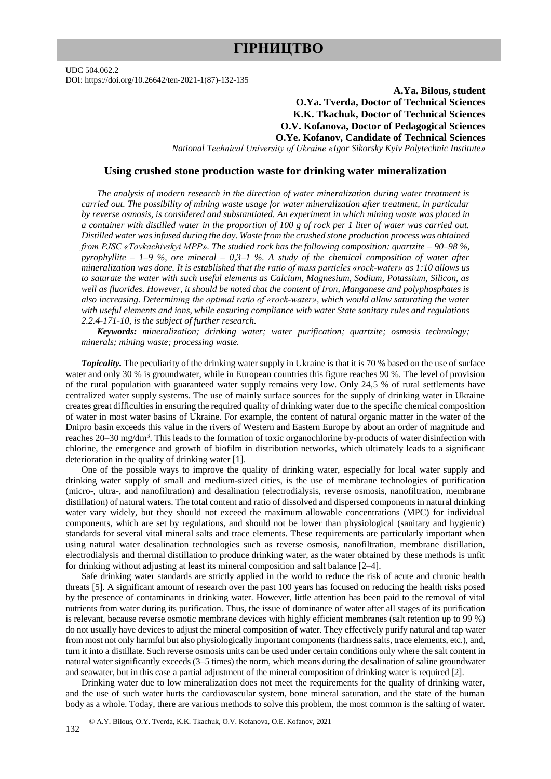# **ГІРНИЦТВО**

UDC 504.062.2 DOI: https://doi.org/10.26642/ten-2021-1(87)-132-135

## **A.Ya. Bilous, student O.Ya. Tverda, Doctor of Technical Sciences K.K. Tkachuk, Doctor of Technical Sciences O.V. Kofanova, Doctor of Pedagogical Sciences O.Ye. Kofanov, Candidate of Technical Sciences**

*National Technical University of Ukraine «Igor Sikorsky Kyiv Polytechnic Institute»*

### **Using crushed stone production waste for drinking water mineralization**

*The analysis of modern research in the direction of water mineralization during water treatment is carried out. The possibility of mining waste usage for water mineralization after treatment, in particular by reverse osmosis, is considered and substantiated. An experiment in which mining waste was placed in a container with distilled water in the proportion of 100 g of rock per 1 liter of water was carried out. Distilled water was infused during the day. Waste from the crushed stone production process was obtained from PJSC «Tovkachivskyi MPP». The studied rock has the following composition: quartzite – 90–98 %, pyrophyllite – 1–9 %, ore mineral – 0,3–1 %. A study of the chemical composition of water after mineralization was done. It is established that the ratio of mass particles «rock-water» as 1:10 allows us to saturate the water with such useful elements as Calcium, Magnesium, Sodium, Potassium, Silicon, as well as fluorides. However, it should be noted that the content of Iron, Manganese and polyphosphates is also increasing. Determining the optimal ratio of «rock-water», which would allow saturating the water with useful elements and ions, while ensuring compliance with water State sanitary rules and regulations 2.2.4-171-10, is the subject of further research.*

*Keywords: mineralization; drinking water; water purification; quartzite; osmosis technology; minerals; mining waste; processing waste.*

*Topicality.* The peculiarity of the drinking water supply in Ukraine is that it is 70 % based on the use of surface water and only 30 % is groundwater, while in European countries this figure reaches 90 %. The level of provision of the rural population with guaranteed water supply remains very low. Only 24,5 % of rural settlements have centralized water supply systems. The use of mainly surface sources for the supply of drinking water in Ukraine creates great difficulties in ensuring the required quality of drinking water due to the specific chemical composition of water in most water basins of Ukraine. For example, the content of natural organic matter in the water of the Dnipro basin exceeds this value in the rivers of Western and Eastern Europe by about an order of magnitude and reaches 20–30 mg/dm<sup>3</sup>. This leads to the formation of toxic organochlorine by-products of water disinfection with chlorine, the emergence and growth of biofilm in distribution networks, which ultimately leads to a significant deterioration in the quality of drinking water [1].

One of the possible ways to improve the quality of drinking water, especially for local water supply and drinking water supply of small and medium-sized cities, is the use of membrane technologies of purification (micro-, ultra-, and nanofiltration) and desalination (electrodialysis, reverse osmosis, nanofiltration, membrane distillation) of natural waters. The total content and ratio of dissolved and dispersed components in natural drinking water vary widely, but they should not exceed the maximum allowable concentrations (MPC) for individual components, which are set by regulations, and should not be lower than physiological (sanitary and hygienic) standards for several vital mineral salts and trace elements. These requirements are particularly important when using natural water desalination technologies such as reverse osmosis, nanofiltration, membrane distillation, electrodialysis and thermal distillation to produce drinking water, as the water obtained by these methods is unfit for drinking without adjusting at least its mineral composition and salt balance [2–4].

Safe drinking water standards are strictly applied in the world to reduce the risk of acute and chronic health threats [5]. A significant amount of research over the past 100 years has focused on reducing the health risks posed by the presence of contaminants in drinking water. However, little attention has been paid to the removal of vital nutrients from water during its purification. Thus, the issue of dominance of water after all stages of its purification is relevant, because reverse osmotic membrane devices with highly efficient membranes (salt retention up to 99 %) do not usually have devices to adjust the mineral composition of water. They effectively purify natural and tap water from most not only harmful but also physiologically important components (hardness salts, trace elements, etc.), and, turn it into a distillate. Such reverse osmosis units can be used under certain conditions only where the salt content in natural water significantly exceeds (3–5 times) the norm, which means during the desalination of saline groundwater and seawater, but in this case a partial adjustment of the mineral composition of drinking water is required [2].

Drinking water due to low mineralization does not meet the requirements for the quality of drinking water, and the use of such water hurts the cardiovascular system, bone mineral saturation, and the state of the human body as a whole. Today, there are various methods to solve this problem, the most common is the salting of water.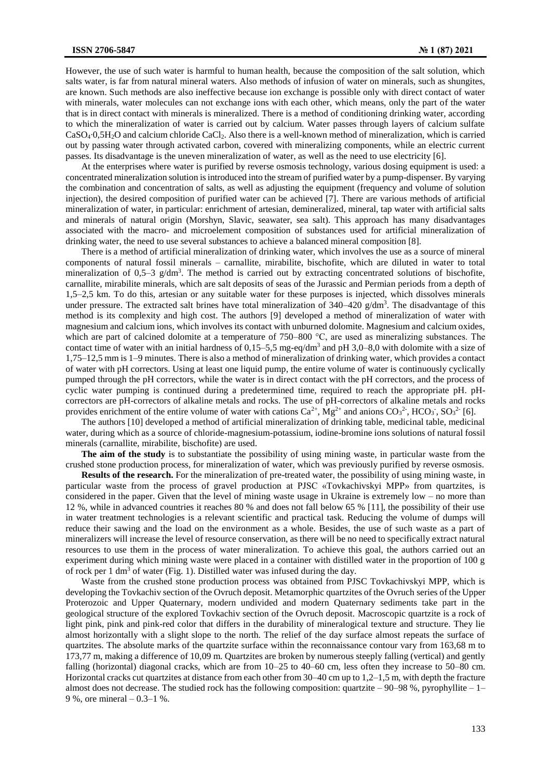However, the use of such water is harmful to human health, because the composition of the salt solution, which salts water, is far from natural mineral waters. Also methods of infusion of water on minerals, such as shungites, are known. Such methods are also ineffective because ion exchange is possible only with direct contact of water with minerals, water molecules can not exchange ions with each other, which means, only the part of the water that is in direct contact with minerals is mineralized. There is a method of conditioning drinking water, according to which the mineralization of water is carried out by calcium. Water passes through layers of calcium sulfate CaSO4∙0,5H2O and calcium chloride CaCl2. Also there is a well-known method of mineralization, which is carried out by passing water through activated carbon, covered with mineralizing components, while an electric current passes. Its disadvantage is the uneven mineralization of water, as well as the need to use electricity [6].

At the enterprises where water is purified by reverse osmosis technology, various dosing equipment is used: a concentrated mineralization solution is introduced into the stream of purified water by a pump-dispenser. By varying the combination and concentration of salts, as well as adjusting the equipment (frequency and volume of solution injection), the desired composition of purified water can be achieved [7]. There are various methods of artificial mineralization of water, in particular: enrichment of artesian, demineralized, mineral, tap water with artificial salts and minerals of natural origin (Morshyn, Slavic, seawater, sea salt). This approach has many disadvantages associated with the macro- and microelement composition of substances used for artificial mineralization of drinking water, the need to use several substances to achieve a balanced mineral composition [8].

There is a method of artificial mineralization of drinking water, which involves the use as a source of mineral components of natural fossil minerals – carnallite, mirabilite, bischofite, which are diluted in water to total mineralization of  $0.5-3$  g/dm<sup>3</sup>. The method is carried out by extracting concentrated solutions of bischofite, carnallite, mirabilite minerals, which are salt deposits of seas of the Jurassic and Permian periods from a depth of 1,5–2,5 km. To do this, artesian or any suitable water for these purposes is injected, which dissolves minerals under pressure. The extracted salt brines have total mineralization of  $340-420$  g/dm<sup>3</sup>. The disadvantage of this method is its complexity and high cost. The authors [9] developed a method of mineralization of water with magnesium and calcium ions, which involves its contact with unburned dolomite. Magnesium and calcium oxides, which are part of calcined dolomite at a temperature of 750–800 °C, are used as mineralizing substances. The contact time of water with an initial hardness of  $0,15-5,5$  mg-eq/dm<sup>3</sup> and pH 3,0–8,0 with dolomite with a size of 1,75–12,5 mm is 1–9 minutes. There is also a method of mineralization of drinking water, which provides a contact of water with pH correctors. Using at least one liquid pump, the entire volume of water is continuously cyclically pumped through the pH correctors, while the water is in direct contact with the pH correctors, and the process of cyclic water pumping is continued during a predetermined time, required to reach the appropriate pH. pHcorrectors are pH-correctors of alkaline metals and rocks. The use of pH-correctors of alkaline metals and rocks provides enrichment of the entire volume of water with cations  $Ca^{2+}$ , Mg<sup>2+</sup> and anions  $CO_3^2$ , HCO<sub>3</sub>, SO<sub>3</sub><sup>2-</sup> [6].

The authors [10] developed a method of artificial mineralization of drinking table, medicinal table, medicinal water, during which as a source of chloride-magnesium-potassium, iodine-bromine ions solutions of natural fossil minerals (carnallite, mirabilite, bischofite) are used.

**The aim of the study** is to substantiate the possibility of using mining waste, in particular waste from the crushed stone production process, for mineralization of water, which was previously purified by reverse osmosis.

**Results of the research.** For the mineralization of pre-treated water, the possibility of using mining waste, in particular waste from the process of gravel production at PJSC «Tovkachivskyi MPP» from quartzites, is considered in the paper. Given that the level of mining waste usage in Ukraine is extremely low – no more than 12 %, while in advanced countries it reaches 80 % and does not fall below 65 % [11], the possibility of their use in water treatment technologies is a relevant scientific and practical task. Reducing the volume of dumps will reduce their sawing and the load on the environment as a whole. Besides, the use of such waste as a part of mineralizers will increase the level of resource conservation, as there will be no need to specifically extract natural resources to use them in the process of water mineralization. To achieve this goal, the authors carried out an experiment during which mining waste were placed in a container with distilled water in the proportion of 100 g of rock per 1 dm<sup>3</sup> of water (Fig. 1). Distilled water was infused during the day.

Waste from the crushed stone production process was obtained from PJSC Tovkachivskyi MPP, which is developing the Tovkachiv section of the Ovruch deposit. Metamorphic quartzites of the Ovruch series of the Upper Proterozoic and Upper Quaternary, modern undivided and modern Quaternary sediments take part in the geological structure of the explored Tovkachiv section of the Ovruch deposit. Macroscopic quartzite is a rock of light pink, pink and pink-red color that differs in the durability of mineralogical texture and structure. They lie almost horizontally with a slight slope to the north. The relief of the day surface almost repeats the surface of quartzites. The absolute marks of the quartzite surface within the reconnaissance contour vary from 163,68 m to 173,77 m, making a difference of 10,09 m. Quartzites are broken by numerous steeply falling (vertical) and gently falling (horizontal) diagonal cracks, which are from 10–25 to 40–60 cm, less often they increase to 50–80 cm. Horizontal cracks cut quartzites at distance from each other from 30–40 cm up to 1,2–1,5 m, with depth the fracture almost does not decrease. The studied rock has the following composition: quartzite  $-90-98$ %, pyrophyllite  $-1-$ 9 %, ore mineral – 0.3–1 %.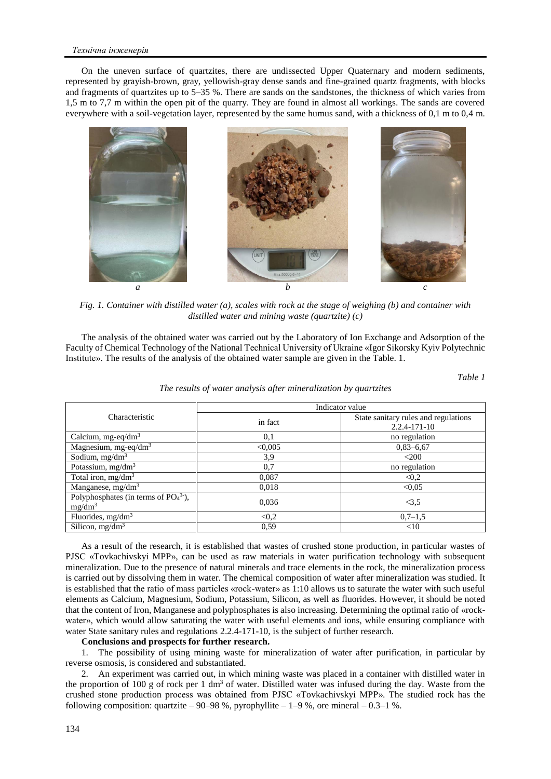#### *Технічна інженерія*

On the uneven surface of quartzites, there are undissected Upper Quaternary and modern sediments, represented by grayish-brown, gray, yellowish-gray dense sands and fine-grained quartz fragments, with blocks and fragments of quartzites up to 5–35 %. There are sands on the sandstones, the thickness of which varies from 1,5 m to 7,7 m within the open pit of the quarry. They are found in almost all workings. The sands are covered everywhere with a soil-vegetation layer, represented by the same humus sand, with a thickness of 0,1 m to 0,4 m.



*Fig. 1. Container with distilled water (a), scales with rock at the stage of weighing (b) and container with distilled water and mining waste (quartzite) (c)*

The analysis of the obtained water was carried out by the Laboratory of Ion Exchange and Adsorption of the Faculty of Chemical Technology of the National Technical University of Ukraine «Igor Sikorsky Kyiv Polytechnic Institute». The results of the analysis of the obtained water sample are given in the Table. 1.

*Table 1*

|  | The results of water analysis after mineralization by quartzites |
|--|------------------------------------------------------------------|
|  |                                                                  |

| Characteristic                                     | Indicator value |                                                            |
|----------------------------------------------------|-----------------|------------------------------------------------------------|
|                                                    | in fact         | State sanitary rules and regulations<br>$2.2.4 - 171 - 10$ |
| Calcium, mg-eq/dm <sup>3</sup>                     | 0.1             | no regulation                                              |
| Magnesium, mg-eq/dm <sup>3</sup>                   | < 0.005         | $0,83 - 6,67$                                              |
| Sodium, $mg/dm3$                                   | 3,9             | $<$ 200                                                    |
| Potassium, $mg/dm3$                                | 0,7             | no regulation                                              |
| Total iron, $mg/dm3$                               | 0,087           | < 0.2                                                      |
| Manganese, mg/dm <sup>3</sup>                      | 0,018           | < 0.05                                                     |
| Polyphosphates (in terms of $PO43$ ),<br>$mg/dm^3$ | 0,036           | <3.5                                                       |
| Fluorides, $mg/dm3$                                | < 0.2           | $0,7-1,5$                                                  |
| Silicon, $mg/dm^3$                                 | 0.59            | <10                                                        |

As a result of the research, it is established that wastes of crushed stone production, in particular wastes of PJSC «Tovkachivskyi MPP», can be used as raw materials in water purification technology with subsequent mineralization. Due to the presence of natural minerals and trace elements in the rock, the mineralization process is carried out by dissolving them in water. The chemical composition of water after mineralization was studied. It is established that the ratio of mass particles «rock-water» as 1:10 allows us to saturate the water with such useful elements as Calcium, Magnesium, Sodium, Potassium, Silicon, as well as fluorides. However, it should be noted that the content of Iron, Manganese and polyphosphates is also increasing. Determining the optimal ratio of «rockwater», which would allow saturating the water with useful elements and ions, while ensuring compliance with water State sanitary rules and regulations 2.2.4-171-10, is the subject of further research.

### **Conclusions and prospects for further research.**

1. The possibility of using mining waste for mineralization of water after purification, in particular by reverse osmosis, is considered and substantiated.

2. An experiment was carried out, in which mining waste was placed in a container with distilled water in the proportion of 100 g of rock per 1 dm<sup>3</sup> of water. Distilled water was infused during the day. Waste from the crushed stone production process was obtained from PJSC «Tovkachivskyi MPP». The studied rock has the following composition: quartzite – 90–98 %, pyrophyllite – 1–9 %, ore mineral – 0.3–1 %.